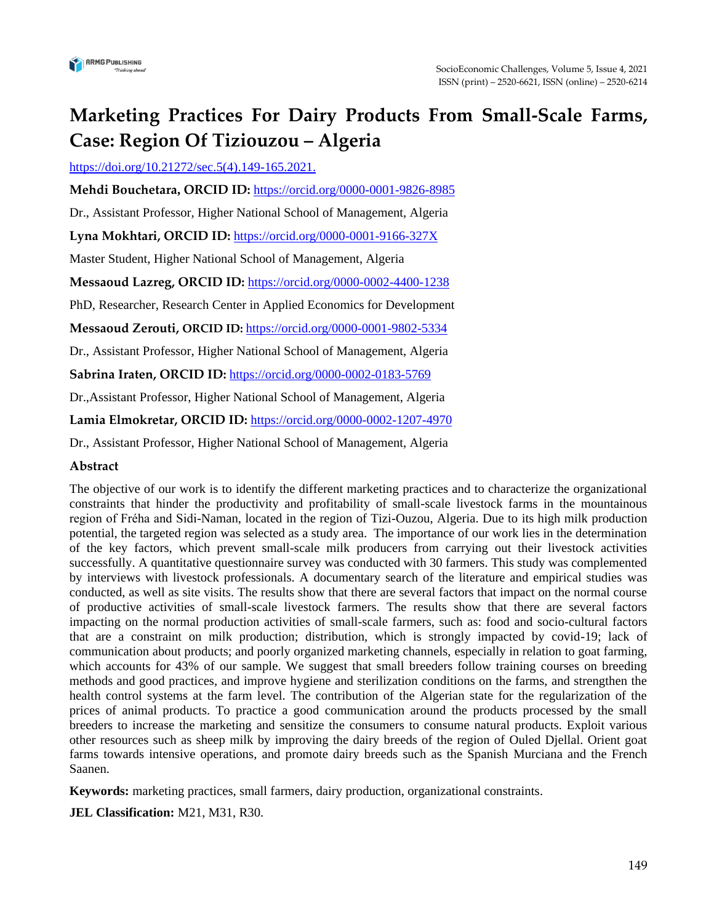

# **Marketing Practices For Dairy Products From Small-Scale Farms, Case: Region Of Tiziouzou – Algeria**

[https://doi.org/10.21272/sec.5\(4\).](https://doi.org/10.21272/sec.5(3))149-165.2021.

**Mehdi Bouchetara, ORCID ID:** h[ttps://orcid.org/0000-0001-9826-8985](tps://orcid.org/0000-0001-9826-8985)

Dr., Assistant Professor, Higher National School of Management, Algeria

**Lyna Mokhtari, ORCID ID:** <https://orcid.org/0000-0001-9166-327X>

Master Student, Higher National School of Management, Algeria

**Messaoud Lazreg, ORCID ID:** <https://orcid.org/0000-0002-4400-1238>

PhD, Researcher, Research Center in Applied Economics for Development

**Messaoud Zerouti, ORCID ID:** <https://orcid.org/0000-0001-9802-5334>

Dr., Assistant Professor, Higher National School of Management, Algeria

**Sabrina Iraten, ORCID ID:** <https://orcid.org/0000-0002-0183-5769>

Dr.,Assistant Professor, Higher National School of Management, Algeria

**Lamia Elmokretar, ORCID ID:** https://orcid.org/0000-0002-1207-4970

Dr., Assistant Professor, Higher National School of Management, Algeria

#### **Abstract**

The objective of our work is to identify the different marketing practices and to characterize the organizational constraints that hinder the productivity and profitability of small-scale livestock farms in the mountainous region of Fréha and Sidi-Naman, located in the region of Tizi-Ouzou, Algeria. Due to its high milk production potential, the targeted region was selected as a study area. The importance of our work lies in the determination of the key factors, which prevent small-scale milk producers from carrying out their livestock activities successfully. A quantitative questionnaire survey was conducted with 30 farmers. This study was complemented by interviews with livestock professionals. A documentary search of the literature and empirical studies was conducted, as well as site visits. The results show that there are several factors that impact on the normal course of productive activities of small-scale livestock farmers. The results show that there are several factors impacting on the normal production activities of small-scale farmers, such as: food and socio-cultural factors that are a constraint on milk production; distribution, which is strongly impacted by covid-19; lack of communication about products; and poorly organized marketing channels, especially in relation to goat farming, which accounts for 43% of our sample. We suggest that small breeders follow training courses on breeding methods and good practices, and improve hygiene and sterilization conditions on the farms, and strengthen the health control systems at the farm level. The contribution of the Algerian state for the regularization of the prices of animal products. To practice a good communication around the products processed by the small breeders to increase the marketing and sensitize the consumers to consume natural products. Exploit various other resources such as sheep milk by improving the dairy breeds of the region of Ouled Djellal. Orient goat farms towards intensive operations, and promote dairy breeds such as the Spanish Murciana and the French Saanen.

**Keywords:** marketing practices, small farmers, dairy production, organizational constraints.

**JEL Classification:** M21, M31, R30.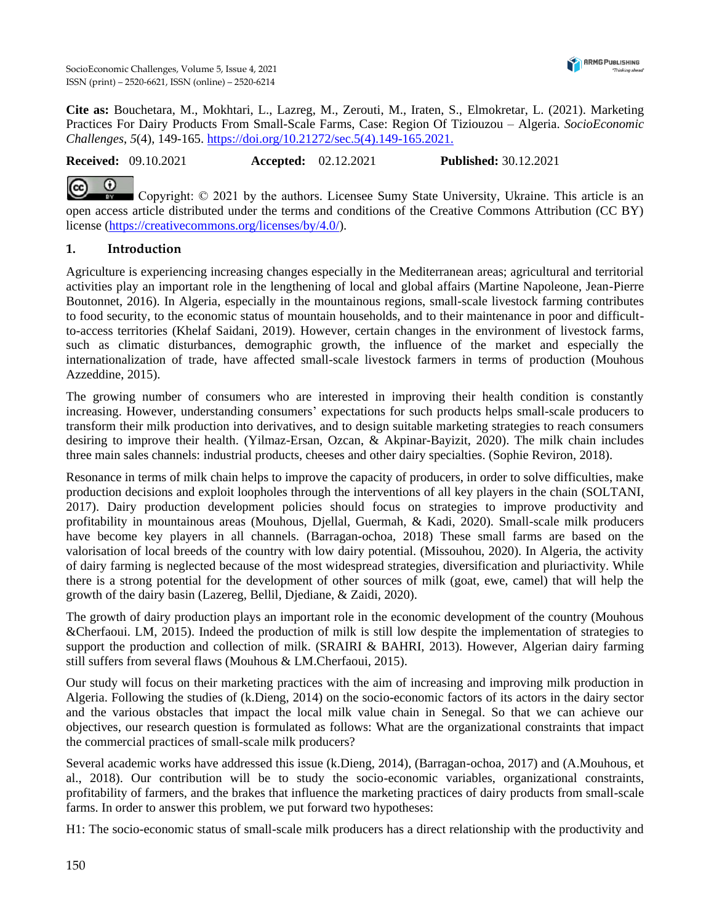SocioEconomic Challenges, Volume 5, Issue 4, 2021 ISSN (print) – 2520-6621, ISSN (online) – 2520-6214



**Cite as:** Bouchetara, M., Mokhtari, L., Lazreg, M., Zerouti, M., Iraten, S., Elmokretar, L. (2021). Marketing Practices For Dairy Products From Small-Scale Farms, Case: Region Of Tiziouzou – Algeria. *SocioEconomic Challenges*, *5*(4), 149-165. [https://doi.org/10.21272/sec.5\(4\).](https://doi.org/10.21272/sec.5(4))149-165.2021.

**Received:** 09.10.2021 **Accepted:** 02.12.2021 **Published:** 30.12.2021

Copyright: © 2021 by the authors. Licensee Sumy State University, Ukraine. This article is an open access article distributed under the terms and conditions of the Creative Commons Attribution (CC BY) license [\(https://creativecommons.org/licenses/by/4.0/\)](https://creativecommons.org/licenses/by/4.0/).

# **1. Introduction**

Agriculture is experiencing increasing changes especially in the Mediterranean areas; agricultural and territorial activities play an important role in the lengthening of local and global affairs (Martine Napoleone, Jean-Pierre Boutonnet, 2016). In Algeria, especially in the mountainous regions, small-scale livestock farming contributes to food security, to the economic status of mountain households, and to their maintenance in poor and difficultto-access territories (Khelaf Saidani, 2019). However, certain changes in the environment of livestock farms, such as climatic disturbances, demographic growth, the influence of the market and especially the internationalization of trade, have affected small-scale livestock farmers in terms of production (Mouhous Azzeddine, 2015).

The growing number of consumers who are interested in improving their health condition is constantly increasing. However, understanding consumers' expectations for such products helps small-scale producers to transform their milk production into derivatives, and to design suitable marketing strategies to reach consumers desiring to improve their health. (Yilmaz-Ersan, Ozcan, & Akpinar-Bayizit, 2020). The milk chain includes three main sales channels: industrial products, cheeses and other dairy specialties. (Sophie Reviron, 2018).

Resonance in terms of milk chain helps to improve the capacity of producers, in order to solve difficulties, make production decisions and exploit loopholes through the interventions of all key players in the chain (SOLTANI, 2017). Dairy production development policies should focus on strategies to improve productivity and profitability in mountainous areas (Mouhous, Djellal, Guermah, & Kadi, 2020). Small-scale milk producers have become key players in all channels. (Barragan-ochoa, 2018) These small farms are based on the valorisation of local breeds of the country with low dairy potential. (Missouhou, 2020). In Algeria, the activity of dairy farming is neglected because of the most widespread strategies, diversification and pluriactivity. While there is a strong potential for the development of other sources of milk (goat, ewe, camel) that will help the growth of the dairy basin (Lazereg, Bellil, Djediane, & Zaidi, 2020).

The growth of dairy production plays an important role in the economic development of the country (Mouhous &Cherfaoui. LM, 2015). Indeed the production of milk is still low despite the implementation of strategies to support the production and collection of milk. (SRAIRI & BAHRI, 2013). However, Algerian dairy farming still suffers from several flaws (Mouhous & LM.Cherfaoui, 2015).

Our study will focus on their marketing practices with the aim of increasing and improving milk production in Algeria. Following the studies of (k.Dieng, 2014) on the socio-economic factors of its actors in the dairy sector and the various obstacles that impact the local milk value chain in Senegal. So that we can achieve our objectives, our research question is formulated as follows: What are the organizational constraints that impact the commercial practices of small-scale milk producers?

Several academic works have addressed this issue (k.Dieng, 2014), (Barragan-ochoa, 2017) and (A.Mouhous, et al., 2018). Our contribution will be to study the socio-economic variables, organizational constraints, profitability of farmers, and the brakes that influence the marketing practices of dairy products from small-scale farms. In order to answer this problem, we put forward two hypotheses:

H1: The socio-economic status of small-scale milk producers has a direct relationship with the productivity and

 $\odot$  $\odot$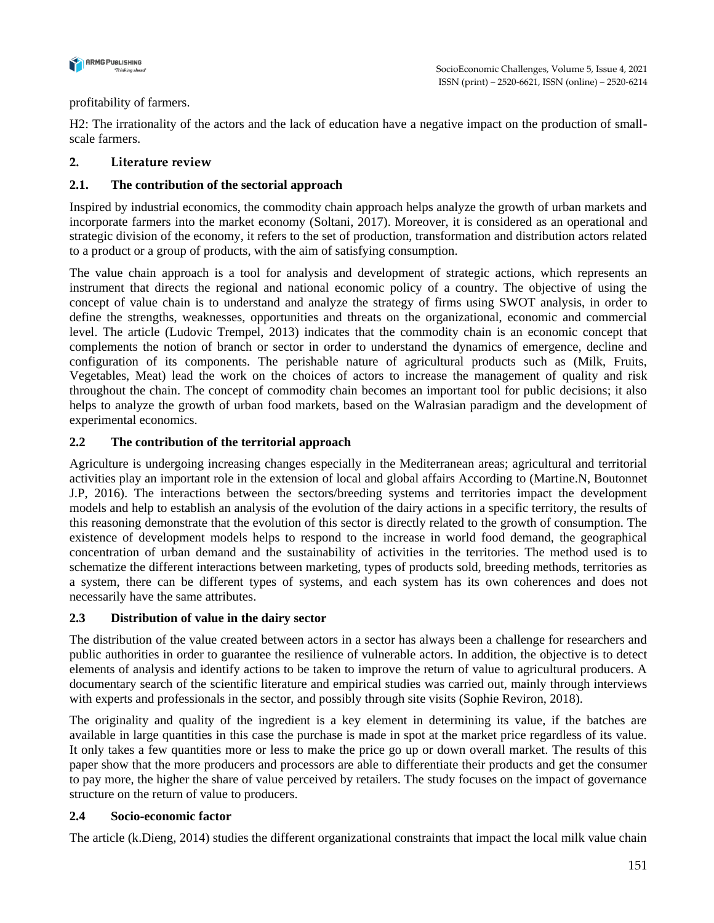

## profitability of farmers.

H2: The irrationality of the actors and the lack of education have a negative impact on the production of smallscale farmers.

# **2. Literature review**

# **2.1. The contribution of the sectorial approach**

Inspired by industrial economics, the commodity chain approach helps analyze the growth of urban markets and incorporate farmers into the market economy (Soltani, 2017). Moreover, it is considered as an operational and strategic division of the economy, it refers to the set of production, transformation and distribution actors related to a product or a group of products, with the aim of satisfying consumption.

The value chain approach is a tool for analysis and development of strategic actions, which represents an instrument that directs the regional and national economic policy of a country. The objective of using the concept of value chain is to understand and analyze the strategy of firms using SWOT analysis, in order to define the strengths, weaknesses, opportunities and threats on the organizational, economic and commercial level. The article (Ludovic Trempel, 2013) indicates that the commodity chain is an economic concept that complements the notion of branch or sector in order to understand the dynamics of emergence, decline and configuration of its components. The perishable nature of agricultural products such as (Milk, Fruits, Vegetables, Meat) lead the work on the choices of actors to increase the management of quality and risk throughout the chain. The concept of commodity chain becomes an important tool for public decisions; it also helps to analyze the growth of urban food markets, based on the Walrasian paradigm and the development of experimental economics.

# **2.2 The contribution of the territorial approach**

Agriculture is undergoing increasing changes especially in the Mediterranean areas; agricultural and territorial activities play an important role in the extension of local and global affairs According to (Martine.N, Boutonnet J.P, 2016). The interactions between the sectors/breeding systems and territories impact the development models and help to establish an analysis of the evolution of the dairy actions in a specific territory, the results of this reasoning demonstrate that the evolution of this sector is directly related to the growth of consumption. The existence of development models helps to respond to the increase in world food demand, the geographical concentration of urban demand and the sustainability of activities in the territories. The method used is to schematize the different interactions between marketing, types of products sold, breeding methods, territories as a system, there can be different types of systems, and each system has its own coherences and does not necessarily have the same attributes.

## **2.3 Distribution of value in the dairy sector**

The distribution of the value created between actors in a sector has always been a challenge for researchers and public authorities in order to guarantee the resilience of vulnerable actors. In addition, the objective is to detect elements of analysis and identify actions to be taken to improve the return of value to agricultural producers. A documentary search of the scientific literature and empirical studies was carried out, mainly through interviews with experts and professionals in the sector, and possibly through site visits (Sophie Reviron, 2018).

The originality and quality of the ingredient is a key element in determining its value, if the batches are available in large quantities in this case the purchase is made in spot at the market price regardless of its value. It only takes a few quantities more or less to make the price go up or down overall market. The results of this paper show that the more producers and processors are able to differentiate their products and get the consumer to pay more, the higher the share of value perceived by retailers. The study focuses on the impact of governance structure on the return of value to producers.

## **2.4 Socio-economic factor**

The article (k.Dieng, 2014) studies the different organizational constraints that impact the local milk value chain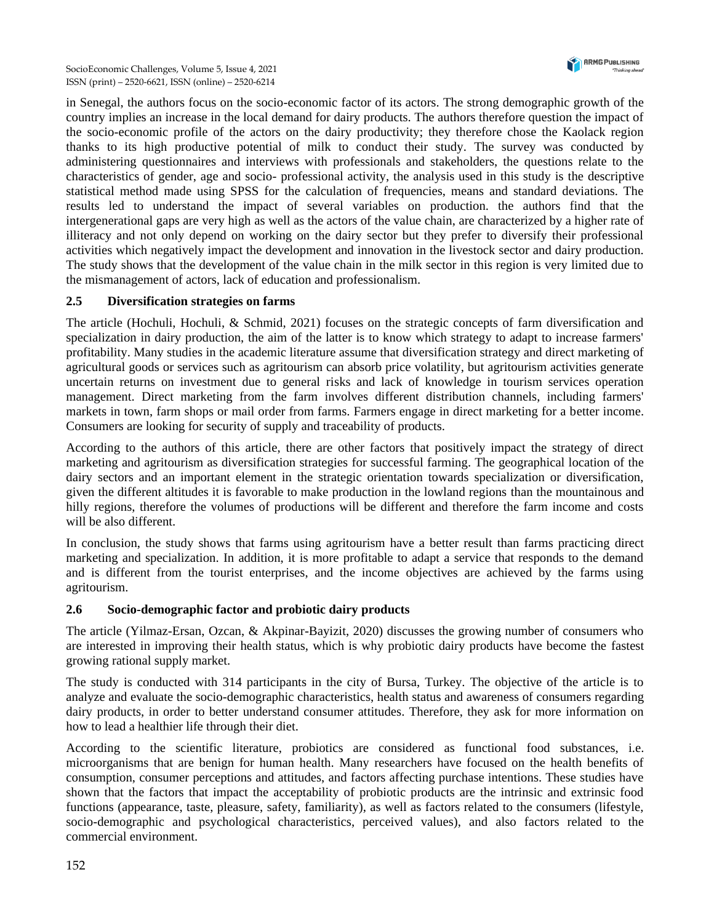

in Senegal, the authors focus on the socio-economic factor of its actors. The strong demographic growth of the country implies an increase in the local demand for dairy products. The authors therefore question the impact of the socio-economic profile of the actors on the dairy productivity; they therefore chose the Kaolack region thanks to its high productive potential of milk to conduct their study. The survey was conducted by administering questionnaires and interviews with professionals and stakeholders, the questions relate to the characteristics of gender, age and socio- professional activity, the analysis used in this study is the descriptive statistical method made using SPSS for the calculation of frequencies, means and standard deviations. The results led to understand the impact of several variables on production. the authors find that the intergenerational gaps are very high as well as the actors of the value chain, are characterized by a higher rate of illiteracy and not only depend on working on the dairy sector but they prefer to diversify their professional activities which negatively impact the development and innovation in the livestock sector and dairy production. The study shows that the development of the value chain in the milk sector in this region is very limited due to the mismanagement of actors, lack of education and professionalism.

# **2.5 Diversification strategies on farms**

The article (Hochuli, Hochuli, & Schmid, 2021) focuses on the strategic concepts of farm diversification and specialization in dairy production, the aim of the latter is to know which strategy to adapt to increase farmers' profitability. Many studies in the academic literature assume that diversification strategy and direct marketing of agricultural goods or services such as agritourism can absorb price volatility, but agritourism activities generate uncertain returns on investment due to general risks and lack of knowledge in tourism services operation management. Direct marketing from the farm involves different distribution channels, including farmers' markets in town, farm shops or mail order from farms. Farmers engage in direct marketing for a better income. Consumers are looking for security of supply and traceability of products.

According to the authors of this article, there are other factors that positively impact the strategy of direct marketing and agritourism as diversification strategies for successful farming. The geographical location of the dairy sectors and an important element in the strategic orientation towards specialization or diversification, given the different altitudes it is favorable to make production in the lowland regions than the mountainous and hilly regions, therefore the volumes of productions will be different and therefore the farm income and costs will be also different.

In conclusion, the study shows that farms using agritourism have a better result than farms practicing direct marketing and specialization. In addition, it is more profitable to adapt a service that responds to the demand and is different from the tourist enterprises, and the income objectives are achieved by the farms using agritourism.

## **2.6 Socio-demographic factor and probiotic dairy products**

The article (Yilmaz-Ersan, Ozcan, & Akpinar-Bayizit, 2020) discusses the growing number of consumers who are interested in improving their health status, which is why probiotic dairy products have become the fastest growing rational supply market.

The study is conducted with 314 participants in the city of Bursa, Turkey. The objective of the article is to analyze and evaluate the socio-demographic characteristics, health status and awareness of consumers regarding dairy products, in order to better understand consumer attitudes. Therefore, they ask for more information on how to lead a healthier life through their diet.

According to the scientific literature, probiotics are considered as functional food substances, i.e. microorganisms that are benign for human health. Many researchers have focused on the health benefits of consumption, consumer perceptions and attitudes, and factors affecting purchase intentions. These studies have shown that the factors that impact the acceptability of probiotic products are the intrinsic and extrinsic food functions (appearance, taste, pleasure, safety, familiarity), as well as factors related to the consumers (lifestyle, socio-demographic and psychological characteristics, perceived values), and also factors related to the commercial environment.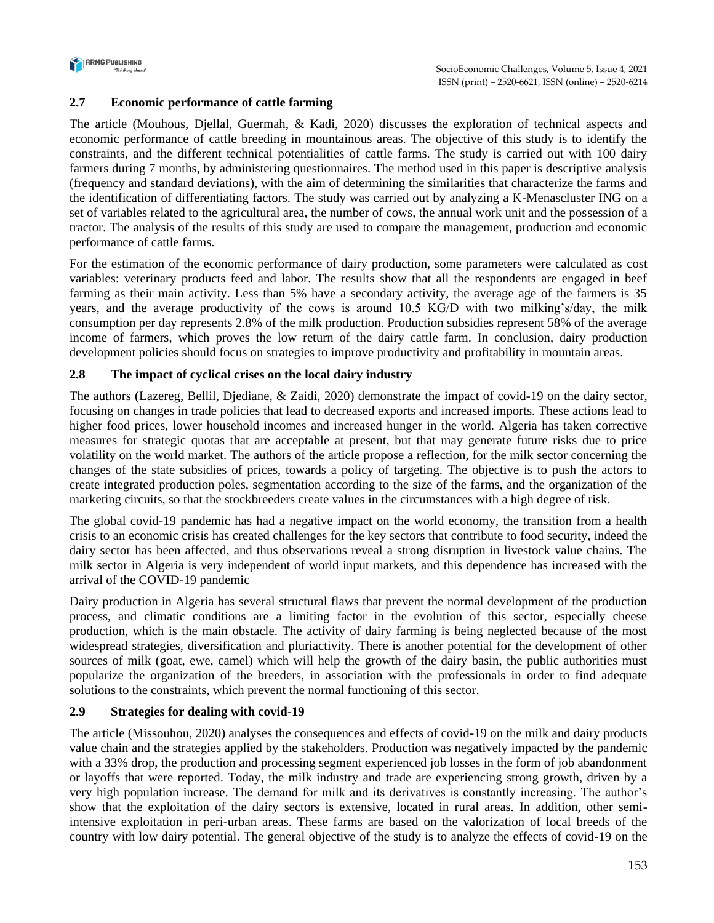

# **2.7 Economic performance of cattle farming**

The article (Mouhous, Djellal, Guermah, & Kadi, 2020) discusses the exploration of technical aspects and economic performance of cattle breeding in mountainous areas. The objective of this study is to identify the constraints, and the different technical potentialities of cattle farms. The study is carried out with 100 dairy farmers during 7 months, by administering questionnaires. The method used in this paper is descriptive analysis (frequency and standard deviations), with the aim of determining the similarities that characterize the farms and the identification of differentiating factors. The study was carried out by analyzing a K-Menascluster ING on a set of variables related to the agricultural area, the number of cows, the annual work unit and the possession of a tractor. The analysis of the results of this study are used to compare the management, production and economic performance of cattle farms.

For the estimation of the economic performance of dairy production, some parameters were calculated as cost variables: veterinary products feed and labor. The results show that all the respondents are engaged in beef farming as their main activity. Less than 5% have a secondary activity, the average age of the farmers is 35 years, and the average productivity of the cows is around 10.5 KG/D with two milking's/day, the milk consumption per day represents 2.8% of the milk production. Production subsidies represent 58% of the average income of farmers, which proves the low return of the dairy cattle farm. In conclusion, dairy production development policies should focus on strategies to improve productivity and profitability in mountain areas.

# **2.8 The impact of cyclical crises on the local dairy industry**

The authors (Lazereg, Bellil, Djediane, & Zaidi, 2020) demonstrate the impact of covid-19 on the dairy sector, focusing on changes in trade policies that lead to decreased exports and increased imports. These actions lead to higher food prices, lower household incomes and increased hunger in the world. Algeria has taken corrective measures for strategic quotas that are acceptable at present, but that may generate future risks due to price volatility on the world market. The authors of the article propose a reflection, for the milk sector concerning the changes of the state subsidies of prices, towards a policy of targeting. The objective is to push the actors to create integrated production poles, segmentation according to the size of the farms, and the organization of the marketing circuits, so that the stockbreeders create values in the circumstances with a high degree of risk.

The global covid-19 pandemic has had a negative impact on the world economy, the transition from a health crisis to an economic crisis has created challenges for the key sectors that contribute to food security, indeed the dairy sector has been affected, and thus observations reveal a strong disruption in livestock value chains. The milk sector in Algeria is very independent of world input markets, and this dependence has increased with the arrival of the COVID-19 pandemic

Dairy production in Algeria has several structural flaws that prevent the normal development of the production process, and climatic conditions are a limiting factor in the evolution of this sector, especially cheese production, which is the main obstacle. The activity of dairy farming is being neglected because of the most widespread strategies, diversification and pluriactivity. There is another potential for the development of other sources of milk (goat, ewe, camel) which will help the growth of the dairy basin, the public authorities must popularize the organization of the breeders, in association with the professionals in order to find adequate solutions to the constraints, which prevent the normal functioning of this sector.

## **2.9 Strategies for dealing with covid-19**

The article (Missouhou, 2020) analyses the consequences and effects of covid-19 on the milk and dairy products value chain and the strategies applied by the stakeholders. Production was negatively impacted by the pandemic with a 33% drop, the production and processing segment experienced job losses in the form of job abandonment or layoffs that were reported. Today, the milk industry and trade are experiencing strong growth, driven by a very high population increase. The demand for milk and its derivatives is constantly increasing. The author's show that the exploitation of the dairy sectors is extensive, located in rural areas. In addition, other semiintensive exploitation in peri-urban areas. These farms are based on the valorization of local breeds of the country with low dairy potential. The general objective of the study is to analyze the effects of covid-19 on the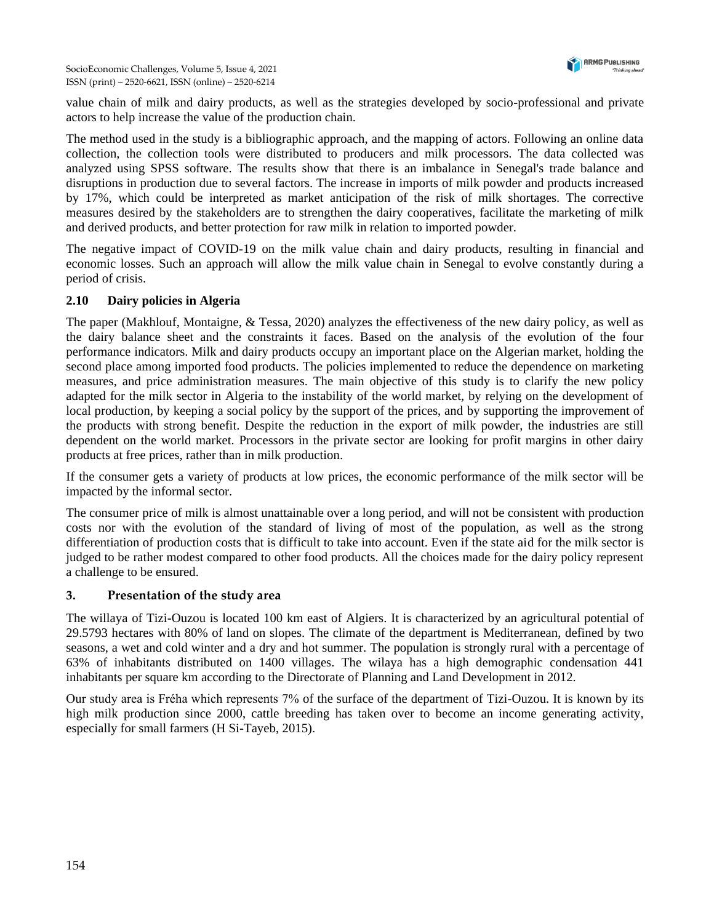

value chain of milk and dairy products, as well as the strategies developed by socio-professional and private actors to help increase the value of the production chain.

The method used in the study is a bibliographic approach, and the mapping of actors. Following an online data collection, the collection tools were distributed to producers and milk processors. The data collected was analyzed using SPSS software. The results show that there is an imbalance in Senegal's trade balance and disruptions in production due to several factors. The increase in imports of milk powder and products increased by 17%, which could be interpreted as market anticipation of the risk of milk shortages. The corrective measures desired by the stakeholders are to strengthen the dairy cooperatives, facilitate the marketing of milk and derived products, and better protection for raw milk in relation to imported powder.

The negative impact of COVID-19 on the milk value chain and dairy products, resulting in financial and economic losses. Such an approach will allow the milk value chain in Senegal to evolve constantly during a period of crisis.

# **2.10 Dairy policies in Algeria**

The paper (Makhlouf, Montaigne, & Tessa, 2020) analyzes the effectiveness of the new dairy policy, as well as the dairy balance sheet and the constraints it faces. Based on the analysis of the evolution of the four performance indicators. Milk and dairy products occupy an important place on the Algerian market, holding the second place among imported food products. The policies implemented to reduce the dependence on marketing measures, and price administration measures. The main objective of this study is to clarify the new policy adapted for the milk sector in Algeria to the instability of the world market, by relying on the development of local production, by keeping a social policy by the support of the prices, and by supporting the improvement of the products with strong benefit. Despite the reduction in the export of milk powder, the industries are still dependent on the world market. Processors in the private sector are looking for profit margins in other dairy products at free prices, rather than in milk production.

If the consumer gets a variety of products at low prices, the economic performance of the milk sector will be impacted by the informal sector.

The consumer price of milk is almost unattainable over a long period, and will not be consistent with production costs nor with the evolution of the standard of living of most of the population, as well as the strong differentiation of production costs that is difficult to take into account. Even if the state aid for the milk sector is judged to be rather modest compared to other food products. All the choices made for the dairy policy represent a challenge to be ensured.

## **3. Presentation of the study area**

The willaya of Tizi-Ouzou is located 100 km east of Algiers. It is characterized by an agricultural potential of 29.5793 hectares with 80% of land on slopes. The climate of the department is Mediterranean, defined by two seasons, a wet and cold winter and a dry and hot summer. The population is strongly rural with a percentage of 63% of inhabitants distributed on 1400 villages. The wilaya has a high demographic condensation 441 inhabitants per square km according to the Directorate of Planning and Land Development in 2012.

Our study area is Fréha which represents 7% of the surface of the department of Tizi-Ouzou. It is known by its high milk production since 2000, cattle breeding has taken over to become an income generating activity, especially for small farmers (H Si-Tayeb, 2015).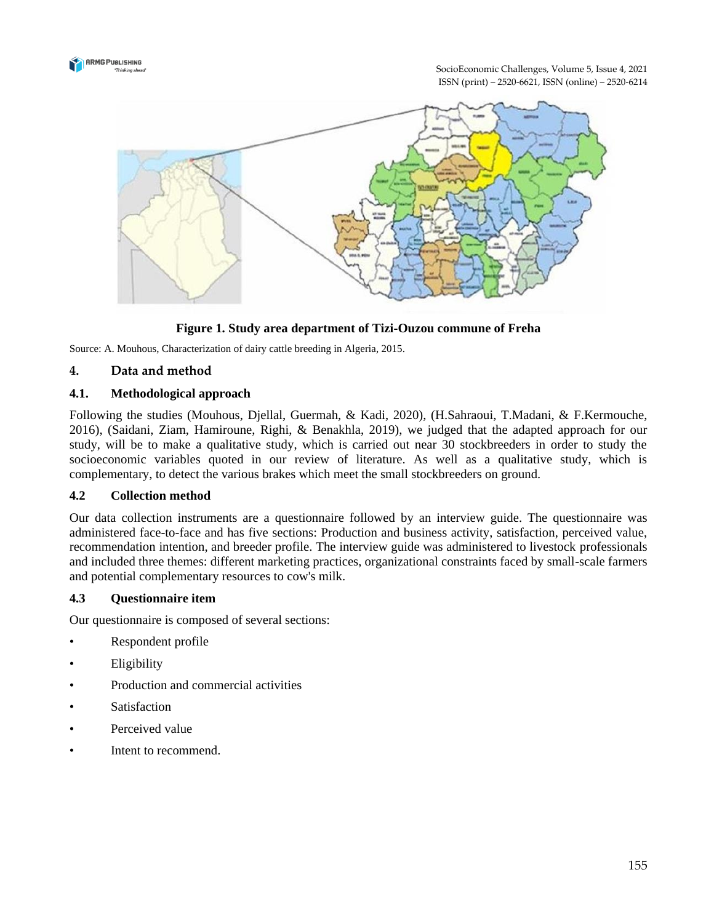

SocioEconomic Challenges, Volume 5, Issue 4, 2021 ISSN (print) – 2520-6621, ISSN (online) – 2520-6214



## **Figure 1. Study area department of Tizi-Ouzou commune of Freha**

Source: A. Mouhous, Characterization of dairy cattle breeding in Algeria, 2015.

#### **4. Data and method**

#### **4.1. Methodological approach**

Following the studies (Mouhous, Djellal, Guermah, & Kadi, 2020), (H.Sahraoui, T.Madani, & F.Kermouche, 2016), (Saidani, Ziam, Hamiroune, Righi, & Benakhla, 2019), we judged that the adapted approach for our study, will be to make a qualitative study, which is carried out near 30 stockbreeders in order to study the socioeconomic variables quoted in our review of literature. As well as a qualitative study, which is complementary, to detect the various brakes which meet the small stockbreeders on ground.

#### **4.2 Collection method**

Our data collection instruments are a questionnaire followed by an interview guide. The questionnaire was administered face-to-face and has five sections: Production and business activity, satisfaction, perceived value, recommendation intention, and breeder profile. The interview guide was administered to livestock professionals and included three themes: different marketing practices, organizational constraints faced by small-scale farmers and potential complementary resources to cow's milk.

#### **4.3 Questionnaire item**

Our questionnaire is composed of several sections:

- Respondent profile
- **Eligibility**
- Production and commercial activities
- **Satisfaction**
- Perceived value
- Intent to recommend.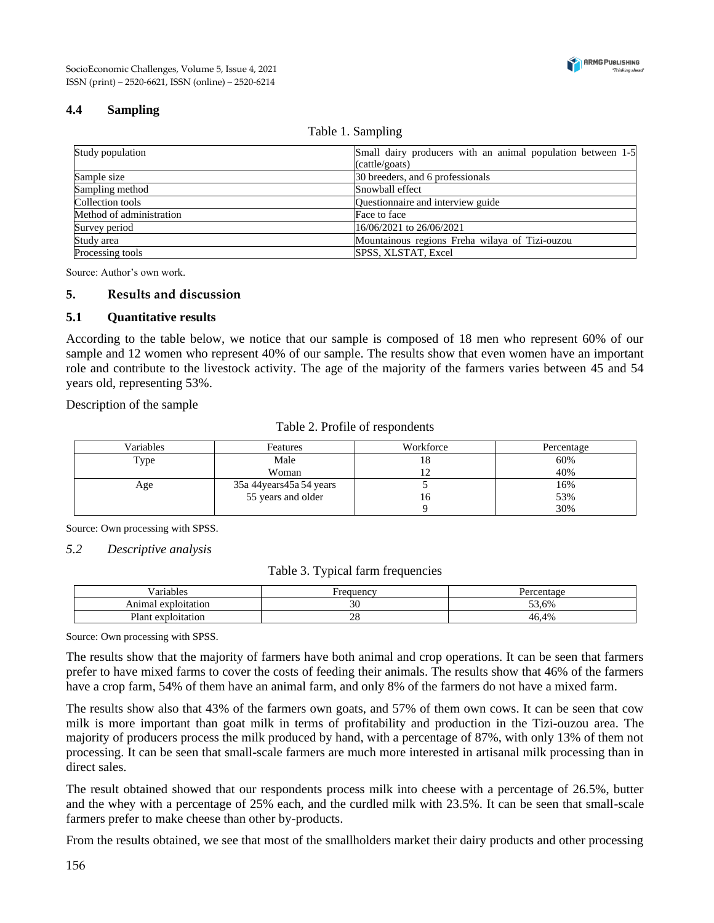

# **4.4 Sampling**

#### Table 1. Sampling

| Study population         | Small dairy producers with an animal population between 1-5 |
|--------------------------|-------------------------------------------------------------|
|                          | (cattle/goats)                                              |
| Sample size              | 30 breeders, and 6 professionals                            |
| Sampling method          | Snowball effect                                             |
| Collection tools         | Questionnaire and interview guide                           |
| Method of administration | Face to face                                                |
| Survey period            | 16/06/2021 to 26/06/2021                                    |
| Study area               | Mountainous regions Freha wilaya of Tizi-ouzou              |
| Processing tools         | SPSS, XLSTAT, Excel                                         |

Source: Author's own work.

#### **5. Results and discussion**

#### **5.1 Quantitative results**

According to the table below, we notice that our sample is composed of 18 men who represent 60% of our sample and 12 women who represent 40% of our sample. The results show that even women have an important role and contribute to the livestock activity. The age of the majority of the farmers varies between 45 and 54 years old, representing 53%.

Description of the sample

Table 2. Profile of respondents

| Variables | Features                  | Workforce | Percentage |
|-----------|---------------------------|-----------|------------|
| Type      | Male                      | 18        | 60%        |
|           | Woman                     |           | 40%        |
| Age       | 35a 44 years 45a 54 years |           | 16%        |
|           | 55 years and older        | I O       | 53%        |
|           |                           |           | 30%        |

Source: Own processing with SPSS.

#### *5.2 Descriptive analysis*

Table 3. Typical farm frequencies

| $\sim$ $\sim$<br>. .<br>Variables                         | $\alpha$ , and $\alpha$<br>الانا الحب | $\cdots$<br>$\sim$ |
|-----------------------------------------------------------|---------------------------------------|--------------------|
| exploitation<br>Anıma                                     | ◡                                     | $\sim$<br>3.6%     |
| $v_{\text{lan}}$<br>7.77.48<br>$\alpha$ itation<br>онанон | $\sim$ $\sim$<br>$\sim$ 0             | 4%<br>$\sim$       |

Source: Own processing with SPSS.

The results show that the majority of farmers have both animal and crop operations. It can be seen that farmers prefer to have mixed farms to cover the costs of feeding their animals. The results show that 46% of the farmers have a crop farm, 54% of them have an animal farm, and only 8% of the farmers do not have a mixed farm.

The results show also that 43% of the farmers own goats, and 57% of them own cows. It can be seen that cow milk is more important than goat milk in terms of profitability and production in the Tizi-ouzou area. The majority of producers process the milk produced by hand, with a percentage of 87%, with only 13% of them not processing. It can be seen that small-scale farmers are much more interested in artisanal milk processing than in direct sales.

The result obtained showed that our respondents process milk into cheese with a percentage of 26.5%, butter and the whey with a percentage of 25% each, and the curdled milk with 23.5%. It can be seen that small-scale farmers prefer to make cheese than other by-products.

From the results obtained, we see that most of the smallholders market their dairy products and other processing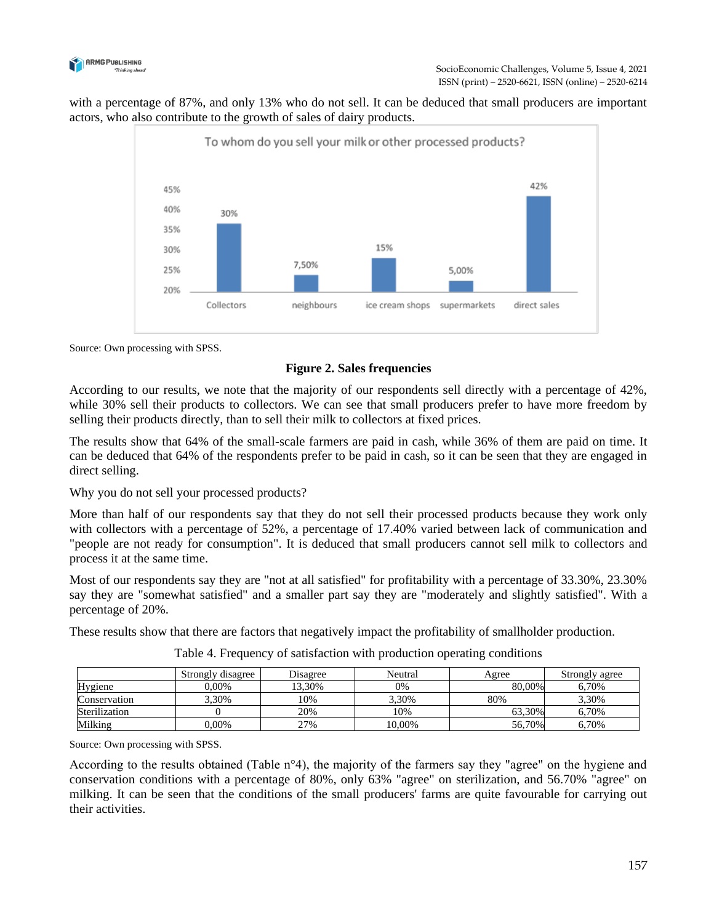

with a percentage of 87%, and only 13% who do not sell. It can be deduced that small producers are important actors, who also contribute to the growth of sales of dairy products.



Source: Own processing with SPSS.

## **Figure 2. Sales frequencies**

According to our results, we note that the majority of our respondents sell directly with a percentage of 42%, while 30% sell their products to collectors. We can see that small producers prefer to have more freedom by selling their products directly, than to sell their milk to collectors at fixed prices.

The results show that 64% of the small-scale farmers are paid in cash, while 36% of them are paid on time. It can be deduced that 64% of the respondents prefer to be paid in cash, so it can be seen that they are engaged in direct selling.

Why you do not sell your processed products?

More than half of our respondents say that they do not sell their processed products because they work only with collectors with a percentage of 52%, a percentage of 17.40% varied between lack of communication and "people are not ready for consumption". It is deduced that small producers cannot sell milk to collectors and process it at the same time.

Most of our respondents say they are "not at all satisfied" for profitability with a percentage of 33.30%, 23.30% say they are "somewhat satisfied" and a smaller part say they are "moderately and slightly satisfied". With a percentage of 20%.

These results show that there are factors that negatively impact the profitability of smallholder production.

|               | Strongly disagree | Disagree | Neutral | Agree  | Strongly agree |
|---------------|-------------------|----------|---------|--------|----------------|
| Hygiene       | $0.00\%$          | 13.30%   | 0%      | 80,00% | 6,70%          |
| Conservation  | 3.30%             | 10%      | 3,30%   | 80%    | 3,30%          |
| Sterilization |                   | 20%      | 10%     | 63.30% | 6.70%          |
| Milking       | $0.00\%$          | 27%      | 10,00%  | 56,70% | 6,70%          |

| Table 4. Frequency of satisfaction with production operating conditions |  |  |  |  |
|-------------------------------------------------------------------------|--|--|--|--|
|-------------------------------------------------------------------------|--|--|--|--|

Source: Own processing with SPSS.

According to the results obtained (Table n°4), the majority of the farmers say they "agree" on the hygiene and conservation conditions with a percentage of 80%, only 63% "agree" on sterilization, and 56.70% "agree" on milking. It can be seen that the conditions of the small producers' farms are quite favourable for carrying out their activities.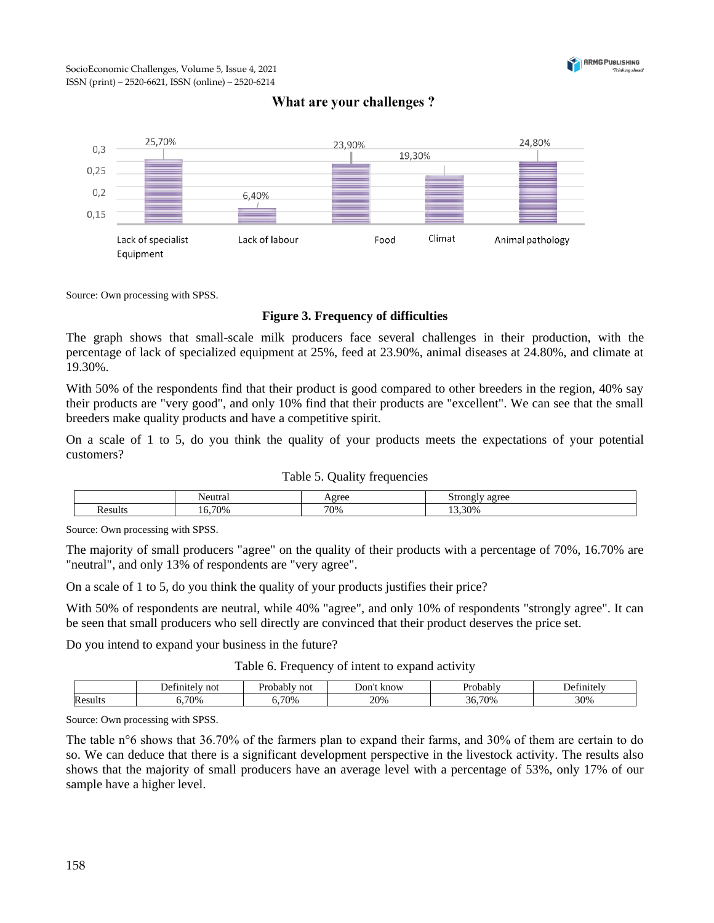

# What are your challenges?



Source: Own processing with SPSS.

#### **Figure 3. Frequency of difficulties**

The graph shows that small-scale milk producers face several challenges in their production, with the percentage of lack of specialized equipment at 25%, feed at 23.90%, animal diseases at 24.80%, and climate at 19.30%.

With 50% of the respondents find that their product is good compared to other breeders in the region, 40% say their products are "very good", and only 10% find that their products are "excellent". We can see that the small breeders make quality products and have a competitive spirit.

On a scale of 1 to 5, do you think the quality of your products meets the expectations of your potential customers?

| Table 5. Quality frequencies |  |
|------------------------------|--|
|------------------------------|--|

| 'eutra. | $\alpha$ in $\alpha$ | 0000<br>яν<br>ົນພ<br>$\overline{\phantom{a}}$ |
|---------|----------------------|-----------------------------------------------|
| 70%     | 70%                  | 30%                                           |

Source: Own processing with SPSS.

The majority of small producers "agree" on the quality of their products with a percentage of 70%, 16.70% are "neutral", and only 13% of respondents are "very agree".

On a scale of 1 to 5, do you think the quality of your products justifies their price?

With 50% of respondents are neutral, while 40% "agree", and only 10% of respondents "strongly agree". It can be seen that small producers who sell directly are convinced that their product deserves the price set.

Do you intend to expand your business in the future?

|  |  |  | Table 6. Frequency of intent to expand activity |  |  |
|--|--|--|-------------------------------------------------|--|--|
|--|--|--|-------------------------------------------------|--|--|

|                | not | not<br>سوري<br>o ho<br>жня | . know<br>. Jor | Probably                   | :†1n1f<br>ЪC |
|----------------|-----|----------------------------|-----------------|----------------------------|--------------|
| Resu<br>-sult. | 70% | 70%                        | 20%             | 700 <sub>6</sub><br>$\sim$ | 30%          |

Source: Own processing with SPSS.

The table n°6 shows that 36.70% of the farmers plan to expand their farms, and 30% of them are certain to do so. We can deduce that there is a significant development perspective in the livestock activity. The results also shows that the majority of small producers have an average level with a percentage of 53%, only 17% of our sample have a higher level.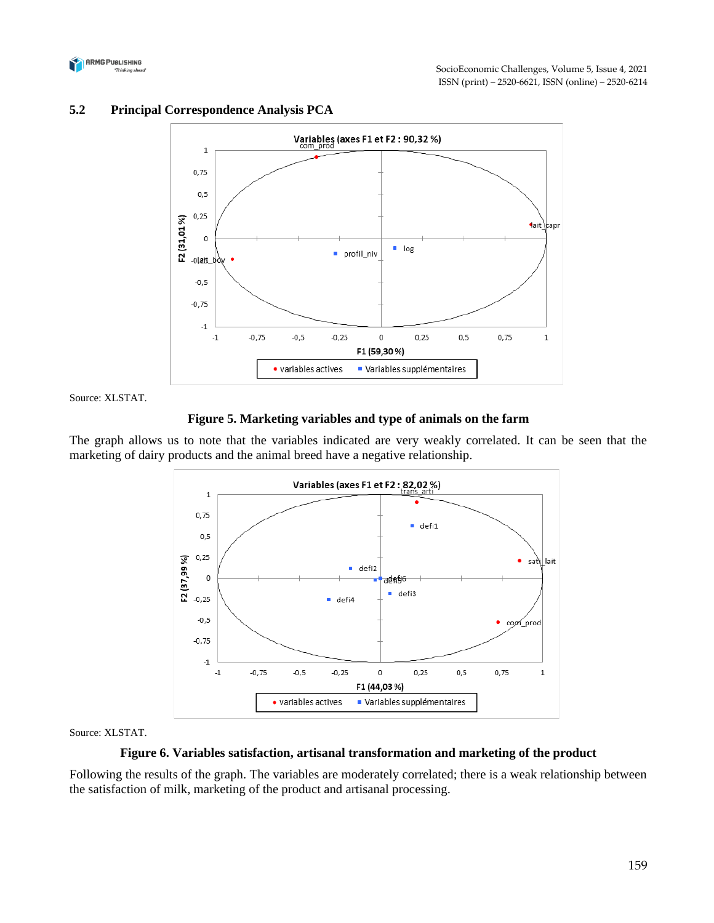



# **5.2 Principal Correspondence Analysis PCA**

Source: XLSTAT.

#### **Figure 5. Marketing variables and type of animals on the farm**

The graph allows us to note that the variables indicated are very weakly correlated. It can be seen that the marketing of dairy products and the animal breed have a negative relationship.



Source: XLSTAT.

#### **Figure 6. Variables satisfaction, artisanal transformation and marketing of the product**

Following the results of the graph. The variables are moderately correlated; there is a weak relationship between the satisfaction of milk, marketing of the product and artisanal processing.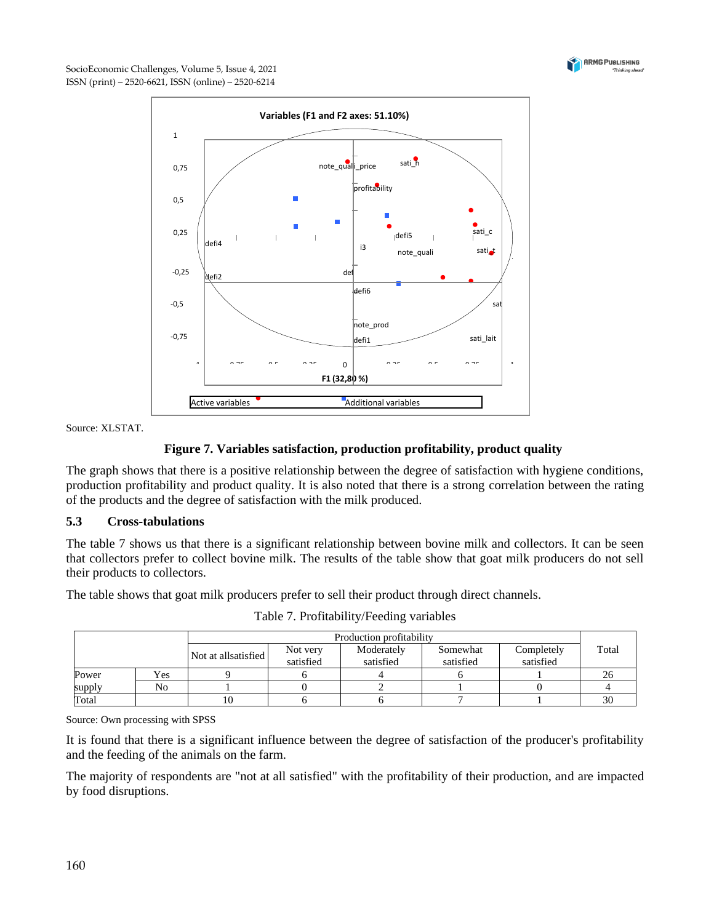



Source: XLSTAT.

# **Figure 7. Variables satisfaction, production profitability, product quality**

The graph shows that there is a positive relationship between the degree of satisfaction with hygiene conditions, production profitability and product quality. It is also noted that there is a strong correlation between the rating of the products and the degree of satisfaction with the milk produced.

## **5.3 Cross-tabulations**

The table 7 shows us that there is a significant relationship between bovine milk and collectors. It can be seen that collectors prefer to collect bovine milk. The results of the table show that goat milk producers do not sell their products to collectors.

The table shows that goat milk producers prefer to sell their product through direct channels.

|        |     | Production profitability |                       |                         |                       |                         |       |
|--------|-----|--------------------------|-----------------------|-------------------------|-----------------------|-------------------------|-------|
|        |     | Not at all satisfied     | Not very<br>satisfied | Moderately<br>satisfied | Somewhat<br>satisfied | Completely<br>satisfied | Total |
| Power  | Yes |                          |                       |                         |                       |                         |       |
| supply | No  |                          |                       |                         |                       |                         |       |
| Total  |     | 10                       |                       |                         |                       |                         | 30    |

Table 7. Profitability/Feeding variables

Source: Own processing with SPSS

It is found that there is a significant influence between the degree of satisfaction of the producer's profitability and the feeding of the animals on the farm.

The majority of respondents are "not at all satisfied" with the profitability of their production, and are impacted by food disruptions.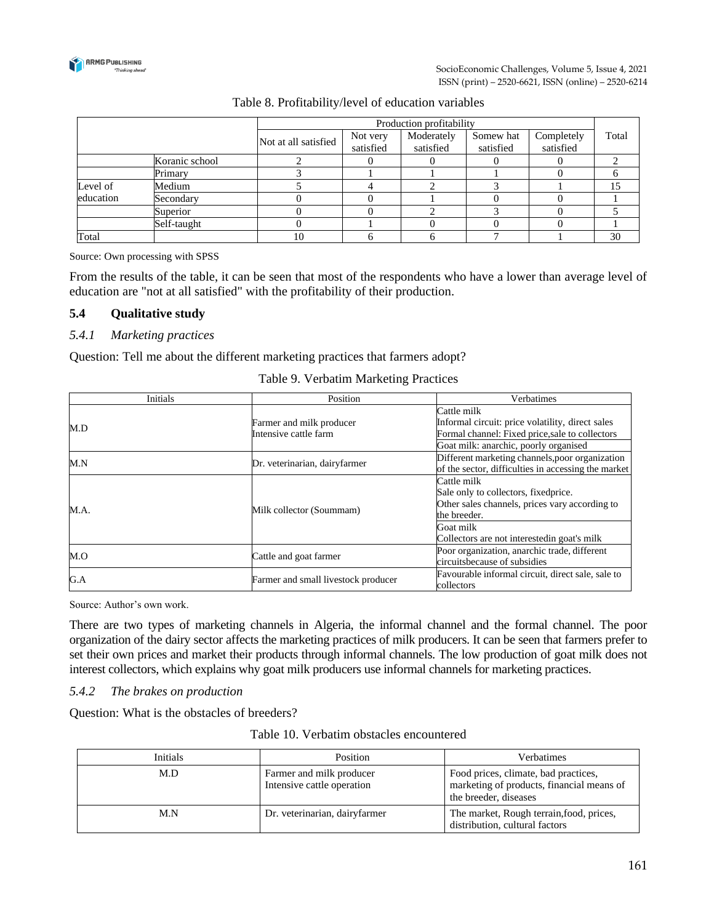

|           |                |                      | Production profitability |                         |                        |                         |       |
|-----------|----------------|----------------------|--------------------------|-------------------------|------------------------|-------------------------|-------|
|           |                | Not at all satisfied | Not very<br>satisfied    | Moderately<br>satisfied | Somew hat<br>satisfied | Completely<br>satisfied | Total |
|           | Koranic school |                      |                          |                         |                        |                         |       |
|           | Primary        |                      |                          |                         |                        |                         |       |
| Level of  | Medium         |                      |                          |                         |                        |                         | 15    |
| education | Secondarv      |                      |                          |                         |                        |                         |       |
|           | Superior       |                      |                          |                         |                        |                         |       |
|           | Self-taught    |                      |                          |                         |                        |                         |       |
| Total     |                | 10                   |                          |                         |                        |                         | 30    |

# Table 8. Profitability/level of education variables

Source: Own processing with SPSS

From the results of the table, it can be seen that most of the respondents who have a lower than average level of education are "not at all satisfied" with the profitability of their production.

#### **5.4 Qualitative study**

#### *5.4.1 Marketing practices*

Question: Tell me about the different marketing practices that farmers adopt?

| <b>Initials</b> | Position                                          | Verbatimes                                                                                                                                      |
|-----------------|---------------------------------------------------|-------------------------------------------------------------------------------------------------------------------------------------------------|
| M.D             | Farmer and milk producer<br>Intensive cattle farm | Cattle milk<br>Informal circuit: price volatility, direct sales<br>Formal channel: Fixed price, sale to collectors                              |
| M.N             | Dr. veterinarian, dairyfarmer                     | Goat milk: anarchic, poorly organised<br>Different marketing channels, poor organization<br>of the sector, difficulties in accessing the market |
| M.A.            | Milk collector (Soummam)                          | Cattle milk<br>Sale only to collectors, fixedprice.<br>Other sales channels, prices vary according to<br>the breeder.                           |
|                 |                                                   | Goat milk<br>Collectors are not interestedin goat's milk                                                                                        |
| M.O             | Cattle and goat farmer                            | Poor organization, anarchic trade, different<br>circuitsbecause of subsidies                                                                    |
| G.A             | Farmer and small livestock producer               | Favourable informal circuit, direct sale, sale to<br>collectors                                                                                 |

# Table 9. Verbatim Marketing Practices

Source: Author's own work.

There are two types of marketing channels in Algeria, the informal channel and the formal channel. The poor organization of the dairy sector affects the marketing practices of milk producers. It can be seen that farmers prefer to set their own prices and market their products through informal channels. The low production of goat milk does not interest collectors, which explains why goat milk producers use informal channels for marketing practices.

#### *5.4.2 The brakes on production*

Question: What is the obstacles of breeders?

| <b>Initials</b> | Position                                               | <b>Verbatimes</b>                                                                                          |
|-----------------|--------------------------------------------------------|------------------------------------------------------------------------------------------------------------|
| M.D             | Farmer and milk producer<br>Intensive cattle operation | Food prices, climate, bad practices,<br>marketing of products, financial means of<br>the breeder, diseases |
| M.N             | Dr. veterinarian, dairyfarmer                          | The market, Rough terrain, food, prices,<br>distribution, cultural factors                                 |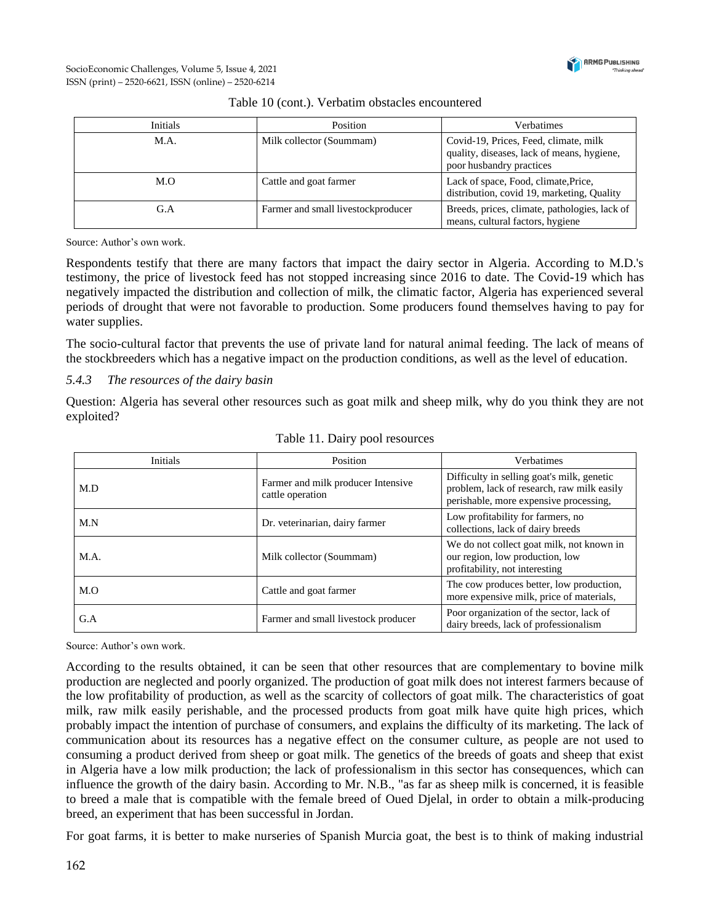

| Initials | Position                           | Verbatimes                                                                                                      |
|----------|------------------------------------|-----------------------------------------------------------------------------------------------------------------|
| M.A.     | Milk collector (Soummam)           | Covid-19, Prices, Feed, climate, milk<br>quality, diseases, lack of means, hygiene,<br>poor husbandry practices |
| M.O      | Cattle and goat farmer             | Lack of space, Food, climate, Price,<br>distribution, covid 19, marketing, Quality                              |
| G.A      | Farmer and small livestockproducer | Breeds, prices, climate, pathologies, lack of<br>means, cultural factors, hygiene                               |

#### Table 10 (cont.). Verbatim obstacles encountered

Source: Author's own work.

Respondents testify that there are many factors that impact the dairy sector in Algeria. According to M.D.'s testimony, the price of livestock feed has not stopped increasing since 2016 to date. The Covid-19 which has negatively impacted the distribution and collection of milk, the climatic factor, Algeria has experienced several periods of drought that were not favorable to production. Some producers found themselves having to pay for water supplies.

The socio-cultural factor that prevents the use of private land for natural animal feeding. The lack of means of the stockbreeders which has a negative impact on the production conditions, as well as the level of education.

#### *5.4.3 The resources of the dairy basin*

Question: Algeria has several other resources such as goat milk and sheep milk, why do you think they are not exploited?

| <b>Initials</b> | Position                                               | Verbatimes                                                                                                                         |  |
|-----------------|--------------------------------------------------------|------------------------------------------------------------------------------------------------------------------------------------|--|
| M.D             | Farmer and milk producer Intensive<br>cattle operation | Difficulty in selling goat's milk, genetic<br>problem, lack of research, raw milk easily<br>perishable, more expensive processing, |  |
| M.N             | Dr. veterinarian, dairy farmer                         | Low profitability for farmers, no<br>collections, lack of dairy breeds                                                             |  |
| M.A.            | Milk collector (Soummam)                               | We do not collect goat milk, not known in<br>our region, low production, low<br>profitability, not interesting                     |  |
| M.O             | Cattle and goat farmer                                 | The cow produces better, low production,<br>more expensive milk, price of materials,                                               |  |
| G.A             | Farmer and small livestock producer                    | Poor organization of the sector, lack of<br>dairy breeds, lack of professionalism                                                  |  |

|  |  | Table 11. Dairy pool resources |
|--|--|--------------------------------|
|  |  |                                |

Source: Author's own work.

According to the results obtained, it can be seen that other resources that are complementary to bovine milk production are neglected and poorly organized. The production of goat milk does not interest farmers because of the low profitability of production, as well as the scarcity of collectors of goat milk. The characteristics of goat milk, raw milk easily perishable, and the processed products from goat milk have quite high prices, which probably impact the intention of purchase of consumers, and explains the difficulty of its marketing. The lack of communication about its resources has a negative effect on the consumer culture, as people are not used to consuming a product derived from sheep or goat milk. The genetics of the breeds of goats and sheep that exist in Algeria have a low milk production; the lack of professionalism in this sector has consequences, which can influence the growth of the dairy basin. According to Mr. N.B., "as far as sheep milk is concerned, it is feasible to breed a male that is compatible with the female breed of Oued Djelal, in order to obtain a milk-producing breed, an experiment that has been successful in Jordan.

For goat farms, it is better to make nurseries of Spanish Murcia goat, the best is to think of making industrial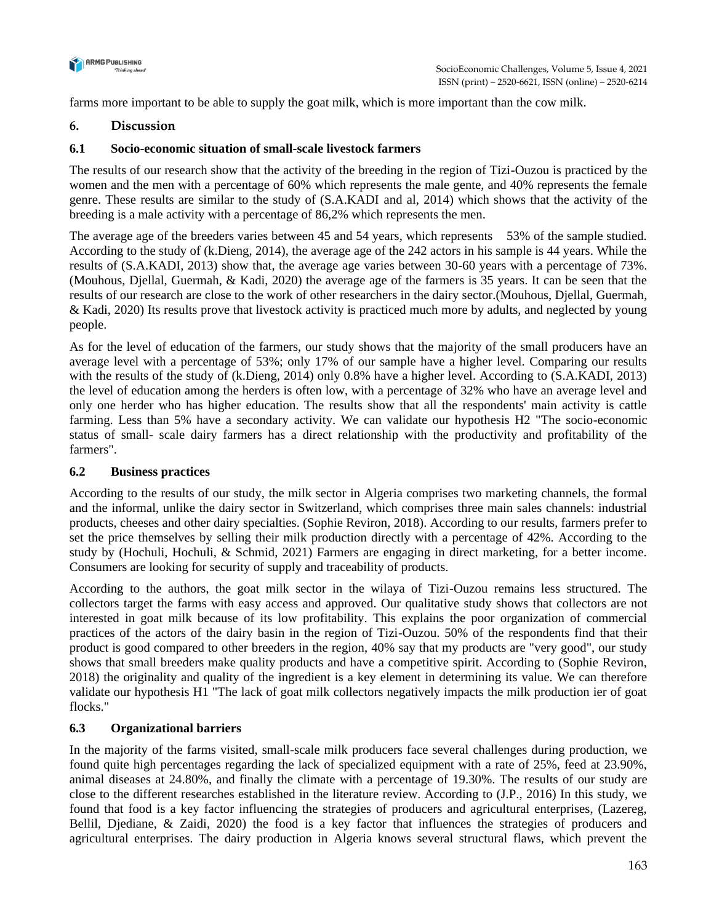

farms more important to be able to supply the goat milk, which is more important than the cow milk.

# **6. Discussion**

# **6.1 Socio-economic situation of small-scale livestock farmers**

The results of our research show that the activity of the breeding in the region of Tizi-Ouzou is practiced by the women and the men with a percentage of 60% which represents the male gente, and 40% represents the female genre. These results are similar to the study of (S.A.KADI and al, 2014) which shows that the activity of the breeding is a male activity with a percentage of 86,2% which represents the men.

The average age of the breeders varies between 45 and 54 years, which represents 53% of the sample studied. According to the study of (k.Dieng, 2014), the average age of the 242 actors in his sample is 44 years. While the results of (S.A.KADI, 2013) show that, the average age varies between 30-60 years with a percentage of 73%. (Mouhous, Djellal, Guermah, & Kadi, 2020) the average age of the farmers is 35 years. It can be seen that the results of our research are close to the work of other researchers in the dairy sector.(Mouhous, Djellal, Guermah, & Kadi, 2020) Its results prove that livestock activity is practiced much more by adults, and neglected by young people.

As for the level of education of the farmers, our study shows that the majority of the small producers have an average level with a percentage of 53%; only 17% of our sample have a higher level. Comparing our results with the results of the study of (k.Dieng, 2014) only 0.8% have a higher level. According to (S.A.KADI, 2013) the level of education among the herders is often low, with a percentage of 32% who have an average level and only one herder who has higher education. The results show that all the respondents' main activity is cattle farming. Less than 5% have a secondary activity. We can validate our hypothesis H2 "The socio-economic status of small- scale dairy farmers has a direct relationship with the productivity and profitability of the farmers".

## **6.2 Business practices**

According to the results of our study, the milk sector in Algeria comprises two marketing channels, the formal and the informal, unlike the dairy sector in Switzerland, which comprises three main sales channels: industrial products, cheeses and other dairy specialties. (Sophie Reviron, 2018). According to our results, farmers prefer to set the price themselves by selling their milk production directly with a percentage of 42%. According to the study by (Hochuli, Hochuli, & Schmid, 2021) Farmers are engaging in direct marketing, for a better income. Consumers are looking for security of supply and traceability of products.

According to the authors, the goat milk sector in the wilaya of Tizi-Ouzou remains less structured. The collectors target the farms with easy access and approved. Our qualitative study shows that collectors are not interested in goat milk because of its low profitability. This explains the poor organization of commercial practices of the actors of the dairy basin in the region of Tizi-Ouzou. 50% of the respondents find that their product is good compared to other breeders in the region, 40% say that my products are "very good", our study shows that small breeders make quality products and have a competitive spirit. According to (Sophie Reviron, 2018) the originality and quality of the ingredient is a key element in determining its value. We can therefore validate our hypothesis H1 "The lack of goat milk collectors negatively impacts the milk production ier of goat flocks."

# **6.3 Organizational barriers**

In the majority of the farms visited, small-scale milk producers face several challenges during production, we found quite high percentages regarding the lack of specialized equipment with a rate of 25%, feed at 23.90%, animal diseases at 24.80%, and finally the climate with a percentage of 19.30%. The results of our study are close to the different researches established in the literature review. According to (J.P., 2016) In this study, we found that food is a key factor influencing the strategies of producers and agricultural enterprises, (Lazereg, Bellil, Djediane, & Zaidi, 2020) the food is a key factor that influences the strategies of producers and agricultural enterprises. The dairy production in Algeria knows several structural flaws, which prevent the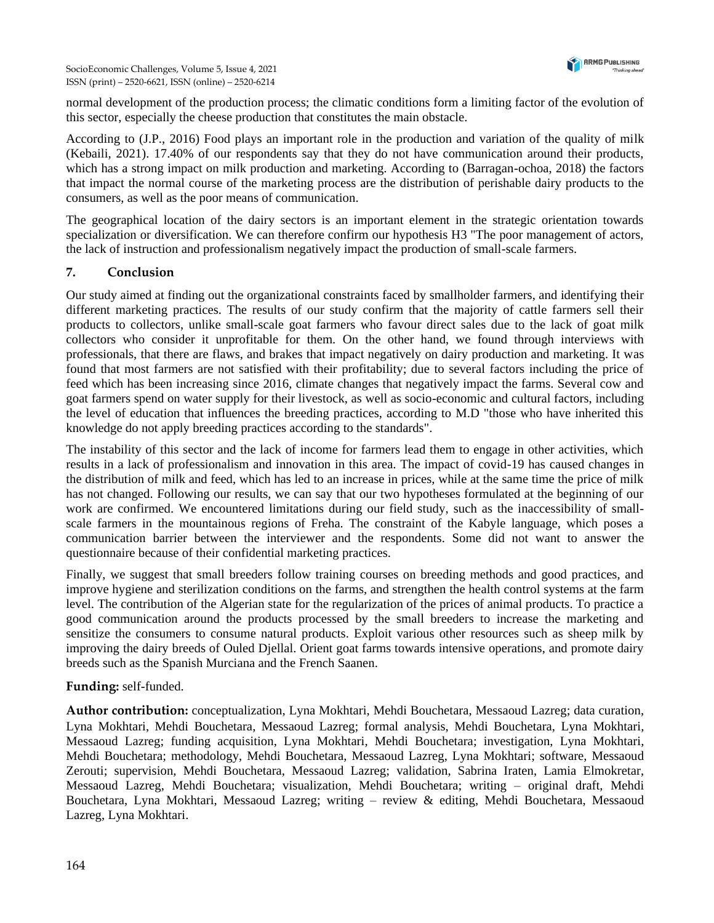

normal development of the production process; the climatic conditions form a limiting factor of the evolution of this sector, especially the cheese production that constitutes the main obstacle.

According to (J.P., 2016) Food plays an important role in the production and variation of the quality of milk (Kebaili, 2021). 17.40% of our respondents say that they do not have communication around their products, which has a strong impact on milk production and marketing. According to (Barragan-ochoa, 2018) the factors that impact the normal course of the marketing process are the distribution of perishable dairy products to the consumers, as well as the poor means of communication.

The geographical location of the dairy sectors is an important element in the strategic orientation towards specialization or diversification. We can therefore confirm our hypothesis H3 "The poor management of actors, the lack of instruction and professionalism negatively impact the production of small-scale farmers.

## **7. Conclusion**

Our study aimed at finding out the organizational constraints faced by smallholder farmers, and identifying their different marketing practices. The results of our study confirm that the majority of cattle farmers sell their products to collectors, unlike small-scale goat farmers who favour direct sales due to the lack of goat milk collectors who consider it unprofitable for them. On the other hand, we found through interviews with professionals, that there are flaws, and brakes that impact negatively on dairy production and marketing. It was found that most farmers are not satisfied with their profitability; due to several factors including the price of feed which has been increasing since 2016, climate changes that negatively impact the farms. Several cow and goat farmers spend on water supply for their livestock, as well as socio-economic and cultural factors, including the level of education that influences the breeding practices, according to M.D "those who have inherited this knowledge do not apply breeding practices according to the standards".

The instability of this sector and the lack of income for farmers lead them to engage in other activities, which results in a lack of professionalism and innovation in this area. The impact of covid-19 has caused changes in the distribution of milk and feed, which has led to an increase in prices, while at the same time the price of milk has not changed. Following our results, we can say that our two hypotheses formulated at the beginning of our work are confirmed. We encountered limitations during our field study, such as the inaccessibility of smallscale farmers in the mountainous regions of Freha. The constraint of the Kabyle language, which poses a communication barrier between the interviewer and the respondents. Some did not want to answer the questionnaire because of their confidential marketing practices.

Finally, we suggest that small breeders follow training courses on breeding methods and good practices, and improve hygiene and sterilization conditions on the farms, and strengthen the health control systems at the farm level. The contribution of the Algerian state for the regularization of the prices of animal products. To practice a good communication around the products processed by the small breeders to increase the marketing and sensitize the consumers to consume natural products. Exploit various other resources such as sheep milk by improving the dairy breeds of Ouled Djellal. Orient goat farms towards intensive operations, and promote dairy breeds such as the Spanish Murciana and the French Saanen.

## **Funding:** self-funded.

**Author contribution:** conceptualization, Lyna Mokhtari, Mehdi Bouchetara, Messaoud Lazreg; data curation, Lyna Mokhtari, Mehdi Bouchetara, Messaoud Lazreg; formal analysis, Mehdi Bouchetara, Lyna Mokhtari, Messaoud Lazreg; funding acquisition, Lyna Mokhtari, Mehdi Bouchetara; investigation, Lyna Mokhtari, Mehdi Bouchetara; methodology, Mehdi Bouchetara, Messaoud Lazreg, Lyna Mokhtari; software, Messaoud Zerouti; supervision, Mehdi Bouchetara, Messaoud Lazreg; validation, Sabrina Iraten, Lamia Elmokretar, Messaoud Lazreg, Mehdi Bouchetara; visualization, Mehdi Bouchetara; writing – original draft, Mehdi Bouchetara, Lyna Mokhtari, Messaoud Lazreg; writing – review & editing, Mehdi Bouchetara, Messaoud Lazreg, Lyna Mokhtari.